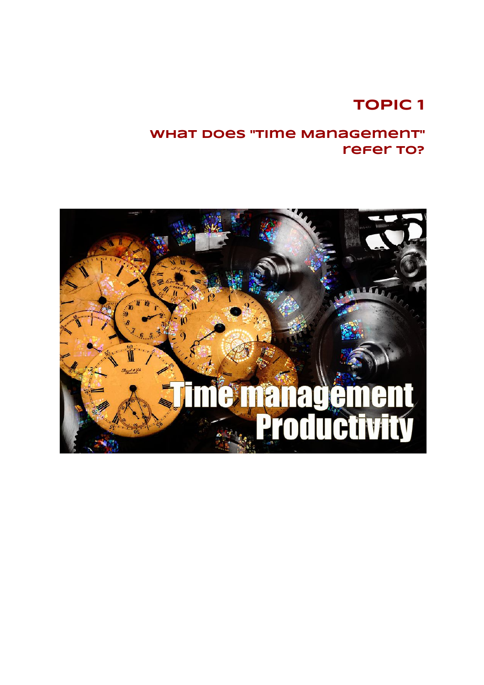# **TOPIC 1**

## **What does "Time Management" refer to?**

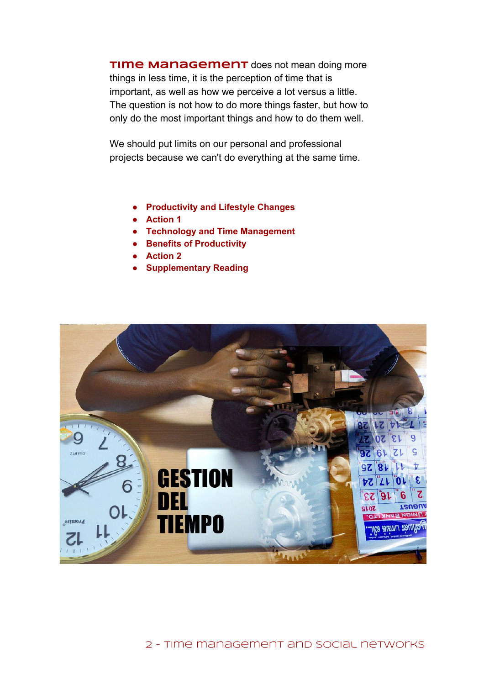**TIME Management** does not mean doing more things in less time, it is the perception of time that is important, as well as how we perceive a lot versus a little. The question is not how to do more things faster, but how to only do the most important things and how to do them well.

We should put limits on our personal and professional projects because we can't do everything at the same time.

- **● Productivity and Lifestyle Changes**
- **● Action 1**
- **● Technology and Time Management**
- **● Benefits of Productivity**
- **● Action 2**
- **● Supplementary Reading**

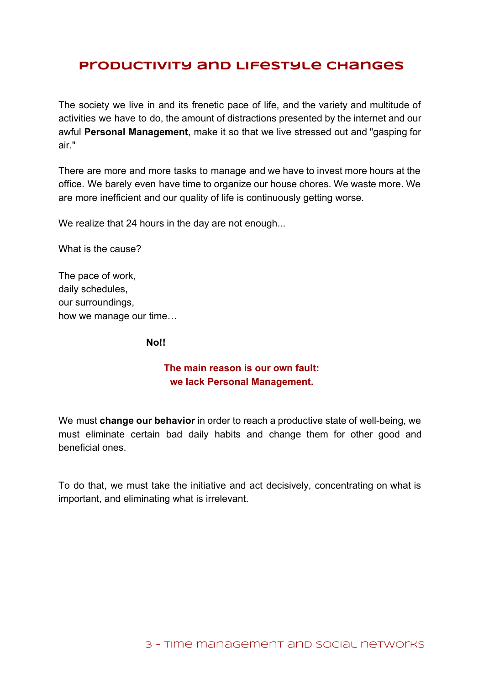## **Productivity and Lifestyle Changes**

The society we live in and its frenetic pace of life, and the variety and multitude of activities we have to do, the amount of distractions presented by the internet and our awful **Personal Management**, make it so that we live stressed out and "gasping for air."

There are more and more tasks to manage and we have to invest more hours at the office. We barely even have time to organize our house chores. We waste more. We are more inefficient and our quality of life is continuously getting worse.

We realize that 24 hours in the day are not enough...

What is the cause?

The pace of work, daily schedules, our surroundings, how we manage our time…

**No!!**

#### **The main reason is our own fault: we lack Personal Management.**

We must **change our behavior** in order to reach a productive state of well-being, we must eliminate certain bad daily habits and change them for other good and beneficial ones.

To do that, we must take the initiative and act decisively, concentrating on what is important, and eliminating what is irrelevant.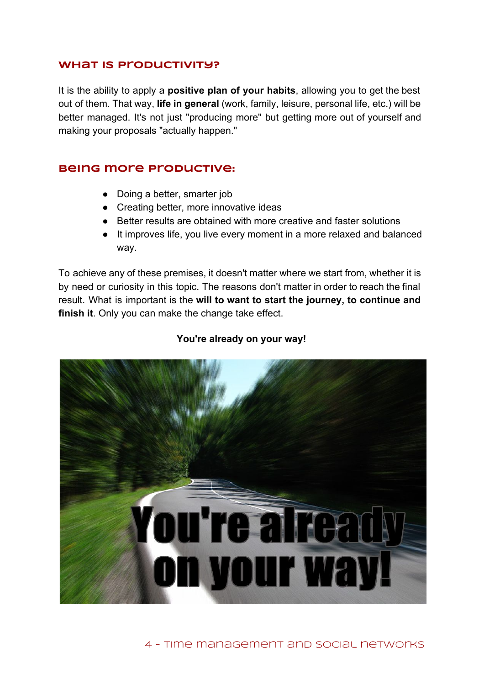### **What is Productivity?**

It is the ability to apply a **positive plan of your habits**, allowing you to get the best out of them. That way, **life in general** (work, family, leisure, personal life, etc.) will be better managed. It's not just "producing more" but getting more out of yourself and making your proposals "actually happen."

### **Being more productive:**

- Doing a better, smarter job
- Creating better, more innovative ideas
- Better results are obtained with more creative and faster solutions
- It improves life, you live every moment in a more relaxed and balanced way.

To achieve any of these premises, it doesn't matter where we start from, whether it is by need or curiosity in this topic. The reasons don't matter in order to reach the final result. What is important is the **will to want to start the journey, to continue and finish it**. Only you can make the change take effect.

#### **You're already on your way!**

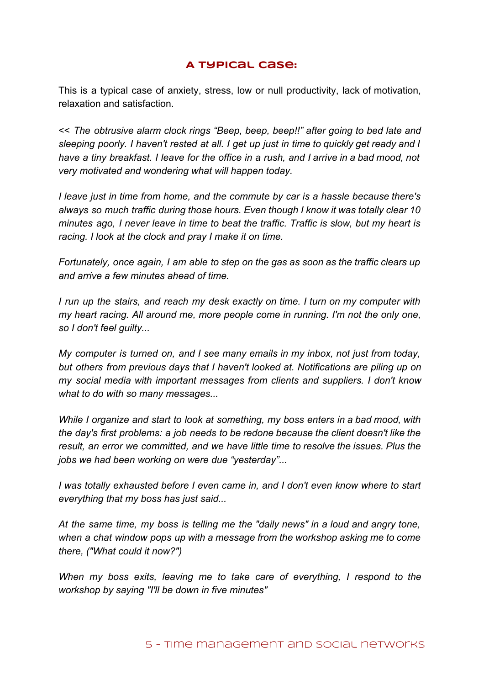## **A typical case:**

This is a typical case of anxiety, stress, low or null productivity, lack of motivation, relaxation and satisfaction.

<< *The obtrusive alarm clock rings "Beep, beep, beep!!" after going to bed late and sleeping poorly. I haven't rested at all. I get up just in time to quickly get ready and I* have a tiny breakfast. I leave for the office in a rush, and I arrive in a bad mood, not *very motivated and wondering what will happen today.*

*I leave just in time from home, and the commute by car is a hassle because there's always so much traffic during those hours. Even though I know it was totally clear 10 minutes ago, I never leave in time to beat the traffic. Traffic is slow, but my heart is racing. I look at the clock and pray I make it on time.*

*Fortunately, once again, I am able to step on the gas as soon as the traffic clears up and arrive a few minutes ahead of time.*

*I run up the stairs, and reach my desk exactly on time. I turn on my computer with my heart racing. All around me, more people come in running. I'm not the only one, so I don't feel guilty...*

*My computer is turned on, and I see many emails in my inbox, not just from today, but others from previous days that I haven't looked at. Notifications are piling up on my social media with important messages from clients and suppliers. I don't know what to do with so many messages...*

*While I organize and start to look at something, my boss enters in a bad mood, with the day's first problems: a job needs to be redone because the client doesn't like the result, an error we committed, and we have little time to resolve the issues. Plus the jobs we had been working on were due "yesterday"...*

*I was totally exhausted before I even came in, and I don't even know where to start everything that my boss has just said...*

*At the same time, my boss is telling me the "daily news" in a loud and angry tone, when a chat window pops up with a message from the workshop asking me to come there, ("What could it now?")*

*When my boss exits, leaving me to take care of everything, I respond to the workshop by saying "I'll be down in five minutes"*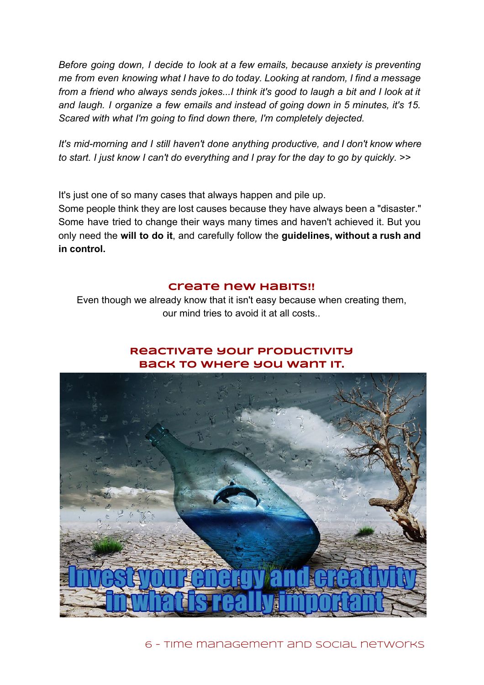*Before going down, I decide to look at a few emails, because anxiety is preventing me from even knowing what I have to do today. Looking at random, I find a message from a friend who always sends jokes...I think it's good to laugh a bit and I look at it and laugh. I organize a few emails and instead of going down in 5 minutes, it's 15. Scared with what I'm going to find down there, I'm completely dejected.*

*It's midmorning and I still haven't done anything productive, and I don't know where to start. I just know I can't do everything and I pray for the day to go by quickly.* >>

It's just one of so many cases that always happen and pile up.

Some people think they are lost causes because they have always been a "disaster." Some have tried to change their ways many times and haven't achieved it. But you only need the **will to do it**, and carefully follow the **guidelines, without a rush and in control.**

#### **Create new habits!!**

Even though we already know that it isn't easy because when creating them, our mind tries to avoid it at all costs..

### **Reactivate your productivity back to where you want it.**



6 - Time management and social networks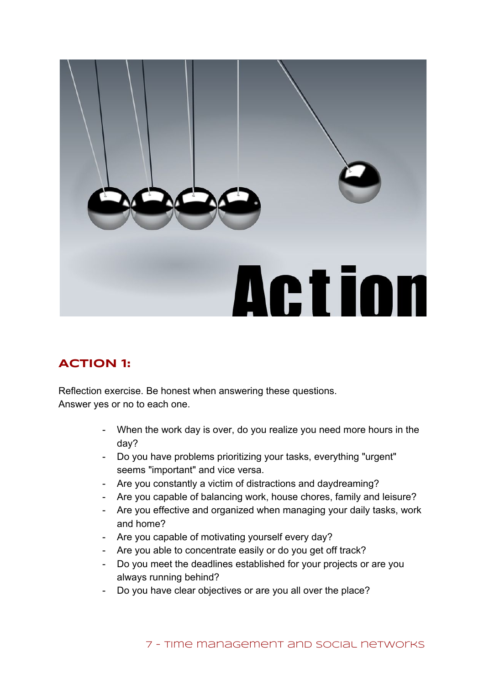

## **ACTION 1:**

Reflection exercise. Be honest when answering these questions. Answer yes or no to each one.

- When the work day is over, do you realize you need more hours in the day?
- Do you have problems prioritizing your tasks, everything "urgent" seems "important" and vice versa.
- Are you constantly a victim of distractions and daydreaming?
- Are you capable of balancing work, house chores, family and leisure?
- Are you effective and organized when managing your daily tasks, work and home?
- Are you capable of motivating yourself every day?
- Are you able to concentrate easily or do you get off track?
- Do you meet the deadlines established for your projects or are you always running behind?
- Do you have clear objectives or are you all over the place?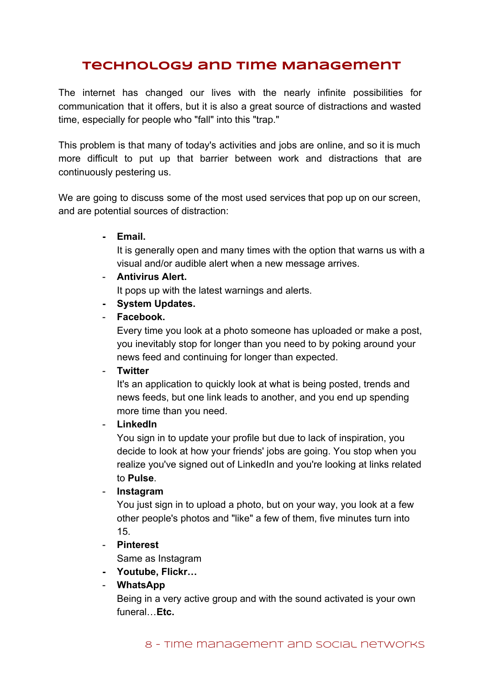## **Technology and Time Management**

The internet has changed our lives with the nearly infinite possibilities for communication that it offers, but it is also a great source of distractions and wasted time, especially for people who "fall" into this "trap."

This problem is that many of today's activities and jobs are online, and so it is much more difficult to put up that barrier between work and distractions that are continuously pestering us.

We are going to discuss some of the most used services that pop up on our screen, and are potential sources of distraction:

**Email.**

It is generally open and many times with the option that warns us with a visual and/or audible alert when a new message arrives.

**Antivirus Alert.**

It pops up with the latest warnings and alerts.

- **System Updates.**
- **Facebook.**

Every time you look at a photo someone has uploaded or make a post, you inevitably stop for longer than you need to by poking around your news feed and continuing for longer than expected.

**Twitter**

It's an application to quickly look at what is being posted, trends and news feeds, but one link leads to another, and you end up spending more time than you need.

#### **LinkedIn**

You sign in to update your profile but due to lack of inspiration, you decide to look at how your friends' jobs are going. You stop when you realize you've signed out of LinkedIn and you're looking at links related to **Pulse**.

**Instagram**

You just sign in to upload a photo, but on your way, you look at a few other people's photos and "like" a few of them, five minutes turn into 15.

**Pinterest**

Same as Instagram

**Youtube, Flickr…**

#### **WhatsApp**

Being in a very active group and with the sound activated is your own funeral…**Etc.**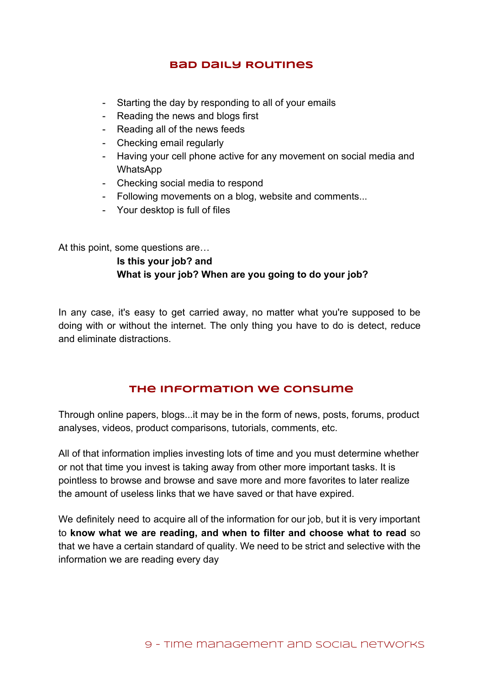### **Bad Daily Routines**

- Starting the day by responding to all of your emails
- Reading the news and blogs first
- Reading all of the news feeds
- Checking email regularly
- Having your cell phone active for any movement on social media and **WhatsApp**
- Checking social media to respond
- Following movements on a blog, website and comments...
- Your desktop is full of files

At this point, some questions are…

## **Is this your job? and What is your job? When are you going to do your job?**

In any case, it's easy to get carried away, no matter what you're supposed to be doing with or without the internet. The only thing you have to do is detect, reduce and eliminate distractions.

#### **The Information We Consume**

Through online papers, blogs...it may be in the form of news, posts, forums, product analyses, videos, product comparisons, tutorials, comments, etc.

All of that information implies investing lots of time and you must determine whether or not that time you invest is taking away from other more important tasks. It is pointless to browse and browse and save more and more favorites to later realize the amount of useless links that we have saved or that have expired.

We definitely need to acquire all of the information for our job, but it is very important to **know what we are reading, and when to filter and choose what to read** so that we have a certain standard of quality. We need to be strict and selective with the information we are reading every day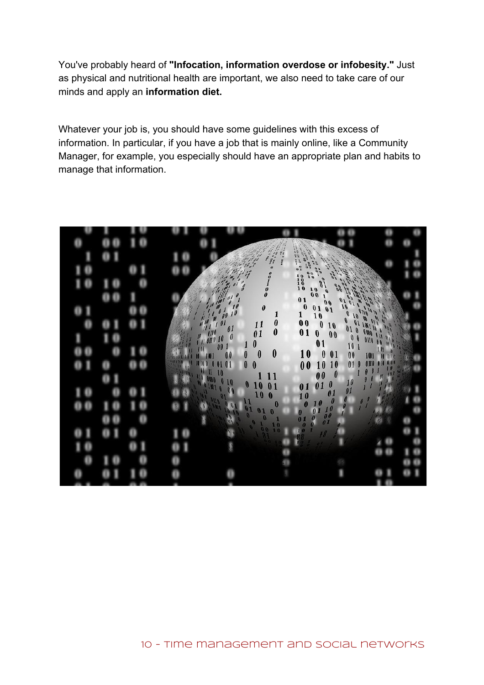You've probably heard of **"Infocation, information overdose or infobesity."**Just as physical and nutritional health are important, we also need to take care of our minds and apply an **information diet.**

Whatever your job is, you should have some guidelines with this excess of information. In particular, if you have a job that is mainly online, like a Community Manager, for example, you especially should have an appropriate plan and habits to manage that information.

|  |                |                                                                                                                                                                                                                                                                                                                                                       | <b>SASE OF ONE</b><br><b>SALES</b>                                                                   |                                                                                                     |                        |  |
|--|----------------|-------------------------------------------------------------------------------------------------------------------------------------------------------------------------------------------------------------------------------------------------------------------------------------------------------------------------------------------------------|------------------------------------------------------------------------------------------------------|-----------------------------------------------------------------------------------------------------|------------------------|--|
|  |                |                                                                                                                                                                                                                                                                                                                                                       |                                                                                                      |                                                                                                     |                        |  |
|  |                |                                                                                                                                                                                                                                                                                                                                                       |                                                                                                      | ere                                                                                                 |                        |  |
|  |                |                                                                                                                                                                                                                                                                                                                                                       | $\begin{bmatrix} 0 \\ 0 \\ 1 \\ 0 \\ 0 \end{bmatrix}$                                                |                                                                                                     |                        |  |
|  |                |                                                                                                                                                                                                                                                                                                                                                       | $\begin{array}{c}\n0 & 1 \\ 0 & 0\n\end{array}$                                                      | Million Capital                                                                                     |                        |  |
|  |                | $\begin{smallmatrix} \begin{smallmatrix} 1 & 0 & 0 \\ 0 & 0 & 0 \\ 0 & 0 & 0 \\ 0 & 0 & 0 \\ 0 & 0 & 0 \\ 0 & 0 & 0 \\ 0 & 0 & 0 \\ 0 & 0 & 0 \\ 0 & 0 & 0 \\ 0 & 0 & 0 \\ 0 & 0 & 0 \\ 0 & 0 & 0 \\ 0 & 0 & 0 \\ 0 & 0 & 0 \\ 0 & 0 & 0 \\ 0 & 0 & 0 \\ 0 & 0 & 0 \\ 0 & 0 & 0 \\ 0 & 0 & 0 \\ 0 & 0 & 0 \\ 0 & 0 & 0 \\ 0 & 0 & 0 \\ 0 & 0 & 0 \\ $ | $\boldsymbol{\theta}$                                                                                | $\frac{0}{10}$                                                                                      |                        |  |
|  |                |                                                                                                                                                                                                                                                                                                                                                       | $\begin{array}{c} 1 \\ 0 \\ 0 \end{array}$<br>$\boldsymbol{\theta}$                                  |                                                                                                     |                        |  |
|  |                |                                                                                                                                                                                                                                                                                                                                                       | $\boldsymbol{0}$<br>01                                                                               | $\begin{smallmatrix} 1 & 0 \\ 0 & 0 \end{smallmatrix}$<br>$\begin{matrix} 0 \\ 0 \\ 1 \end{matrix}$ | <b>Alle</b><br>W       |  |
|  |                |                                                                                                                                                                                                                                                                                                                                                       |                                                                                                      | 10                                                                                                  | $\frac{1}{11}$<br>is a |  |
|  | <b>Ablance</b> |                                                                                                                                                                                                                                                                                                                                                       | $\boldsymbol{0}$<br>10                                                                               | $\pmb{0}$<br>$\boldsymbol{01}$<br>$\boldsymbol{0}$<br>10 I                                          |                        |  |
|  |                |                                                                                                                                                                                                                                                                                                                                                       | $\bf{0}$                                                                                             | 01<br>10<br>$\frac{1}{2}$<br>10<br>0                                                                | $\frac{1}{2}$          |  |
|  |                | W<br>0                                                                                                                                                                                                                                                                                                                                                | 11                                                                                                   | 00                                                                                                  |                        |  |
|  |                | $\frac{10}{00}$<br>$\boldsymbol{\theta}$<br>$\mathbf{1}$                                                                                                                                                                                                                                                                                              | $\boldsymbol{0}$<br>01<br>$\begin{smallmatrix} 0 & 1 \\ 1 & 0 \\ 0 & 0 \end{smallmatrix}$<br>10<br>0 | $\begin{array}{c} 10 \\ 01 \end{array}$<br>01<br>$\boldsymbol{0}$                                   |                        |  |
|  |                |                                                                                                                                                                                                                                                                                                                                                       |                                                                                                      | $\mathbf{0}$                                                                                        |                        |  |
|  |                |                                                                                                                                                                                                                                                                                                                                                       |                                                                                                      | $\frac{10}{60}$<br>$\begin{bmatrix} 0 \\ 0 \\ 0 \end{bmatrix}$                                      |                        |  |
|  |                |                                                                                                                                                                                                                                                                                                                                                       | $\ddot{\boldsymbol{\theta}}$<br>$\bf{0}$                                                             |                                                                                                     |                        |  |
|  |                |                                                                                                                                                                                                                                                                                                                                                       |                                                                                                      |                                                                                                     |                        |  |
|  |                |                                                                                                                                                                                                                                                                                                                                                       |                                                                                                      |                                                                                                     |                        |  |
|  |                |                                                                                                                                                                                                                                                                                                                                                       |                                                                                                      |                                                                                                     |                        |  |
|  |                |                                                                                                                                                                                                                                                                                                                                                       |                                                                                                      |                                                                                                     |                        |  |
|  |                |                                                                                                                                                                                                                                                                                                                                                       |                                                                                                      |                                                                                                     |                        |  |
|  |                |                                                                                                                                                                                                                                                                                                                                                       |                                                                                                      |                                                                                                     |                        |  |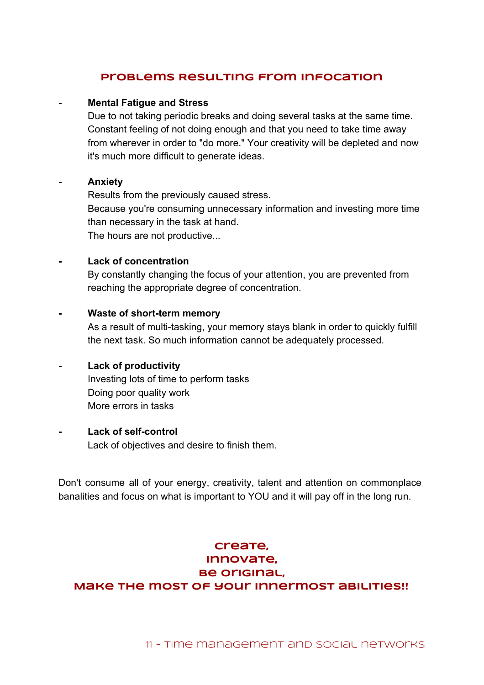### **Problems Resulting from Infocation**

#### **Mental Fatigue and Stress**

Due to not taking periodic breaks and doing several tasks at the same time. Constant feeling of not doing enough and that you need to take time away from wherever in order to "do more." Your creativity will be depleted and now it's much more difficult to generate ideas.

#### **Anxiety**

Results from the previously caused stress. Because you're consuming unnecessary information and investing more time than necessary in the task at hand. The hours are not productive...

#### **Lack of concentration**

By constantly changing the focus of your attention, you are prevented from reaching the appropriate degree of concentration.

#### **Waste of short-term memory**

As a result of multi-tasking, your memory stays blank in order to quickly fulfill the next task. So much information cannot be adequately processed.

#### **Lack of productivity**

Investing lots of time to perform tasks Doing poor quality work More errors in tasks

#### **Lack of self-control**

Lack of objectives and desire to finish them.

Don't consume all of your energy, creativity, talent and attention on commonplace banalities and focus on what is important to YOU and it will pay off in the long run.

## **Create, Innovate, Be original, Make the most of your innermost abilities!!**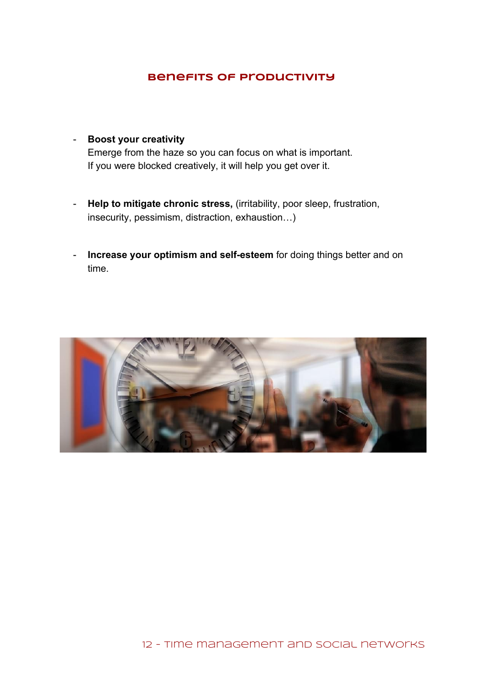## **Benefits of Productivity**

- **Boost your creativity** Emerge from the haze so you can focus on what is important. If you were blocked creatively, it will help you get over it.
- **Help to mitigate chronic stress,**(irritability, poor sleep, frustration, insecurity, pessimism, distraction, exhaustion…)
- **Increase your optimism and self-esteem** for doing things better and on time.